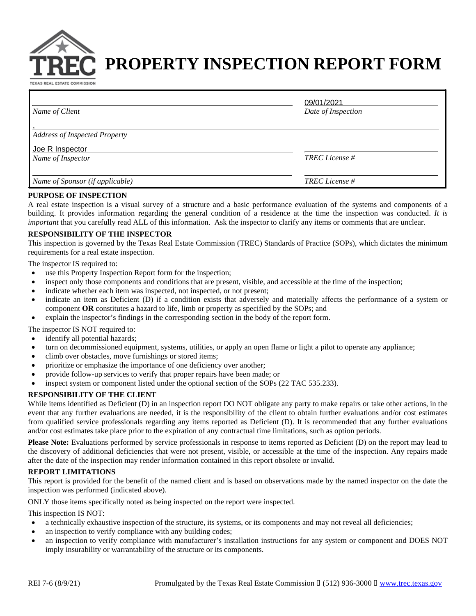

# **PROPERTY INSPECTION REPORT FORM**

TEXAS REAL ESTATE COMMISSION

| Name of Client                       | 09/01/2021<br>Date of Inspection |
|--------------------------------------|----------------------------------|
| <b>Address of Inspected Property</b> |                                  |
| Joe R Inspector<br>Name of Inspector | <b>TREC</b> License #            |
| Name of Sponsor (if applicable)      | <b>TREC</b> License #            |

#### **PURPOSE OF INSPECTION**

A real estate inspection is a visual survey of a structure and a basic performance evaluation of the systems and components of a building. It provides information regarding the general condition of a residence at the time the inspection was conducted. *It is important* that you carefully read ALL of this information. Ask the inspector to clarify any items or comments that are unclear.

# **RESPONSIBILITY OF THE INSPECTOR**

This inspection is governed by the Texas Real Estate Commission (TREC) Standards of Practice (SOPs), which dictates the minimum requirements for a real estate inspection.

The inspector IS required to:

- use this Property Inspection Report form for the inspection;
- inspect only those components and conditions that are present, visible, and accessible at the time of the inspection;
- indicate whether each item was inspected, not inspected, or not present;
- indicate an item as Deficient (D) if a condition exists that adversely and materially affects the performance of a system or component OR constitutes a hazard to life, limb or property as specified by the SOPs; and
- · explain the inspector's findings in the corresponding section in the body of the report form.

The inspector IS NOT required to:

- identify all potential hazards;
- turn on decommissioned equipment, systems, utilities, or apply an open flame or light a pilot to operate any appliance;
- climb over obstacles, move furnishings or stored items;
- prioritize or emphasize the importance of one deficiency over another;
- provide follow-up services to verify that proper repairs have been made; or
- inspect system or component listed under the optional section of the SOPs (22 TAC 535.233).

# **RESPONSIBILITY OF THE CLIENT**

While items identified as Deficient (D) in an inspection report DO NOT obligate any party to make repairs or take other actions, in the event that any further evaluations are needed, it is the responsibility of the client to obtain further evaluations and/or cost estimates from qualified service professionals regarding any items reported as Deficient (D). It is recommended that any further evaluations and/or cost estimates take place prior to the expiration of any contractual time limitations, such as option periods.

**Please Note:** Evaluations performed by service professionals in response to items reported as Deficient (D) on the report may lead to the discovery of additional deficiencies that were not present, visible, or accessible at the time of the inspection. Any repairs made after the date of the inspection may render information contained in this report obsolete or invalid.

#### **REPORT LIMITATIONS**

This report is provided for the benefit of the named client and is based on observations made by the named inspector on the date the inspection was performed (indicated above).

ONLY those items specifically noted as being inspected on the report were inspected.

This inspection IS NOT:

- a technically exhaustive inspection of the structure, its systems, or its components and may not reveal all deficiencies;
- an inspection to verify compliance with any building codes;
- an inspection to verify compliance with manufacturer's installation instructions for any system or component and DOES NOT imply insurability or warrantability of the structure or its components.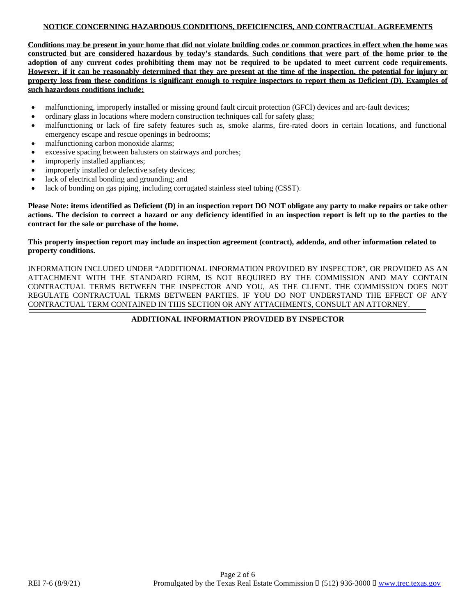# **NOTICE CONCERNING HAZARDOUS CONDITIONS, DEFICIENCIES, AND CONTRACTUAL AGREEMENTS**

Conditions may be present in your home that did not violate building codes or common practices in effect when the home was constructed but are considered hazardous by today's standards. Such conditions that were part of the home prior to the adoption of any current codes prohibiting them may not be required to be updated to meet current code requirements. However, if it can be reasonably determined that they are present at the time of the inspection, the potential for injury or property loss from these conditions is significant enough to require inspectors to report them as Deficient (D). Examples of **such hazardous conditions include:**

- malfunctioning, improperly installed or missing ground fault circuit protection (GFCI) devices and arc-fault devices;
- · ordinary glass in locations where modern construction techniques call for safety glass;
- malfunctioning or lack of fire safety features such as, smoke alarms, fire-rated doors in certain locations, and functional emergency escape and rescue openings in bedrooms;
- malfunctioning carbon monoxide alarms;
- excessive spacing between balusters on stairways and porches:
- improperly installed appliances;
- improperly installed or defective safety devices;
- lack of electrical bonding and grounding; and
- lack of bonding on gas piping, including corrugated stainless steel tubing (CSST).

Please Note: items identified as Deficient (D) in an inspection report DO NOT obligate any party to make repairs or take other actions. The decision to correct a hazard or any deficiency identified in an inspection report is left up to the parties to the **contract for the sale or purchase of the home.**

### This property inspection report may include an inspection agreement (contract), addenda, and other information related to **property conditions.**

INFORMATION INCLUDED UNDER "ADDITIONAL INFORMATION PROVIDED BY INSPECTOR", OR PROVIDED AS AN ATTACHMENT WITH THE STANDARD FORM, IS NOT REQUIRED BY THE COMMISSION AND MAY CONTAIN CONTRACTUAL TERMS BETWEEN THE INSPECTOR AND YOU, AS THE CLIENT. THE COMMISSION DOES NOT REGULATE CONTRACTUAL TERMS BETWEEN PARTIES. IF YOU DO NOT UNDERSTAND THE EFFECT OF ANY CONTRACTUAL TERM CONTAINED IN THIS SECTION OR ANY ATTACHMENTS, CONSULT AN ATTORNEY.

**ADDITIONAL INFORMATION PROVIDED BY INSPECTOR**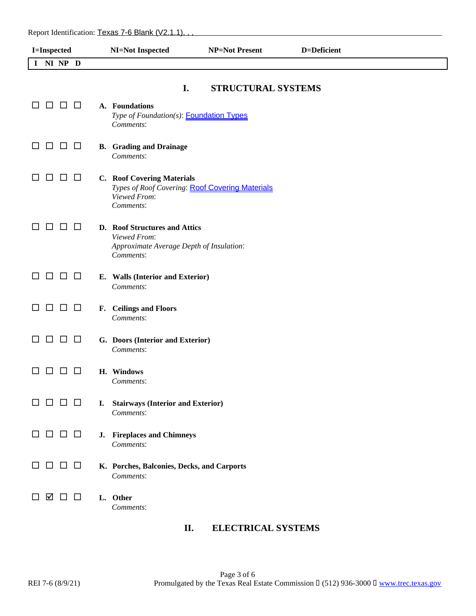| I=Inspected                    | <b>NI=Not Inspected</b>                                                                                    | <b>NP=Not Present</b>     | D=Deficient |
|--------------------------------|------------------------------------------------------------------------------------------------------------|---------------------------|-------------|
| I NI NP D                      |                                                                                                            |                           |             |
| $\Box$<br>$\Box$<br>ப<br>ப     | I.<br>A. Foundations<br>Type of Foundation(s): <b>Foundation Types</b>                                     | <b>STRUCTURAL SYSTEMS</b> |             |
| O O O<br>$\Box$                | Comments:<br><b>B.</b> Grading and Drainage<br>Comments:                                                   |                           |             |
| $\Box$<br>□<br>ப               | C. Roof Covering Materials<br>Types of Roof Covering: Roof Covering Materials<br>Viewed From:<br>Comments: |                           |             |
| $\Box$<br>□<br>ப               | D. Roof Structures and Attics<br>Viewed From:<br>Approximate Average Depth of Insulation:<br>Comments:     |                           |             |
| 88 S S<br>ப                    | E. Walls (Interior and Exterior)<br>Comments:                                                              |                           |             |
| □<br>□<br>ΙI                   | F. Ceilings and Floors<br>Comments:                                                                        |                           |             |
| □<br>$\Box$ $\Box$             | G. Doors (Interior and Exterior)<br>Comments:                                                              |                           |             |
| $\Box$                         | H. Windows<br>Comments:                                                                                    |                           |             |
| $\Box$ $\Box$ $\Box$<br>□      | I. Stairways (Interior and Exterior)<br>Comments:                                                          |                           |             |
| $\Box$ $\Box$ $\Box$<br>ΙI     | J. Fireplaces and Chimneys<br>Comments:                                                                    |                           |             |
| $\Box$ $\Box$ $\Box$<br>$\Box$ | K. Porches, Balconies, Decks, and Carports<br>Comments:                                                    |                           |             |
| ☑<br>$\Box$ $\Box$             | L. Other<br>Comments:                                                                                      |                           |             |

# **II. ELECTRICAL SYSTEMS**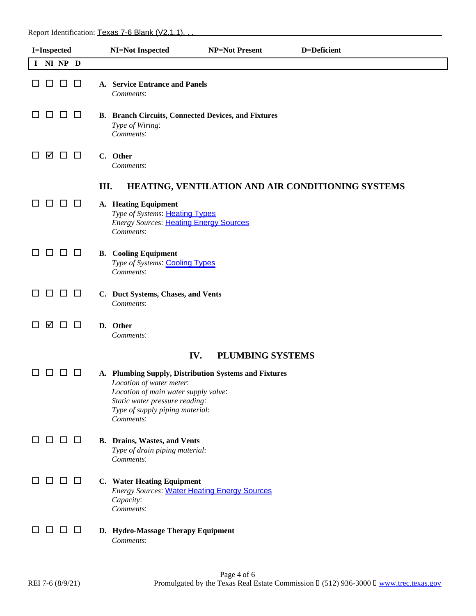| <b>I=Inspected</b> |           |               | <b>NI=Not Inspected</b> | <b>NP=Not Present</b> | D=Deficient                                                                                                                                                                                                 |                         |                                                   |
|--------------------|-----------|---------------|-------------------------|-----------------------|-------------------------------------------------------------------------------------------------------------------------------------------------------------------------------------------------------------|-------------------------|---------------------------------------------------|
|                    | I NI NP D |               |                         |                       |                                                                                                                                                                                                             |                         |                                                   |
|                    | ப         | $\Box$        | $\Box$                  |                       | A. Service Entrance and Panels<br>Comments:                                                                                                                                                                 |                         |                                                   |
|                    | ΙI        | $\perp$       | $\Box$                  |                       | <b>B.</b> Branch Circuits, Connected Devices, and Fixtures<br>Type of Wiring:<br>Comments:                                                                                                                  |                         |                                                   |
|                    | ☑         | <b>DE</b>     |                         |                       | C. Other<br>Comments:                                                                                                                                                                                       |                         |                                                   |
|                    |           |               |                         | III.                  |                                                                                                                                                                                                             |                         | HEATING, VENTILATION AND AIR CONDITIONING SYSTEMS |
|                    |           |               | $\Box$                  |                       | A. Heating Equipment<br>Type of Systems: Heating Types<br><b>Energy Sources: Heating Energy Sources</b><br>Comments:                                                                                        |                         |                                                   |
|                    | П         | $\Box$ $\Box$ |                         |                       | <b>B.</b> Cooling Equipment<br>Type of Systems: Cooling Types<br>Comments:                                                                                                                                  |                         |                                                   |
|                    | □         | $\Box$        | $\Box$                  |                       | C. Duct Systems, Chases, and Vents<br>Comments:                                                                                                                                                             |                         |                                                   |
|                    | М         | $\perp$       | $\Box$                  |                       | D. Other<br>Comments:                                                                                                                                                                                       |                         |                                                   |
|                    |           |               |                         |                       | IV.                                                                                                                                                                                                         | <b>PLUMBING SYSTEMS</b> |                                                   |
|                    |           | $\Box$        | $\Box$                  |                       | A. Plumbing Supply, Distribution Systems and Fixtures<br>Location of water meter:<br>Location of main water supply valve:<br>Static water pressure reading:<br>Type of supply piping material:<br>Comments: |                         |                                                   |
| ப                  | □         | $\Box$ $\Box$ |                         |                       | <b>B.</b> Drains, Wastes, and Vents<br>Type of drain piping material:<br>Comments:                                                                                                                          |                         |                                                   |
|                    |           | L I           | $\Box$                  |                       | C. Water Heating Equipment<br><b>Energy Sources: Water Heating Energy Sources</b><br>Capacity:<br>Comments:                                                                                                 |                         |                                                   |
|                    |           |               | $\perp$                 |                       | D. Hydro-Massage Therapy Equipment<br>Comments:                                                                                                                                                             |                         |                                                   |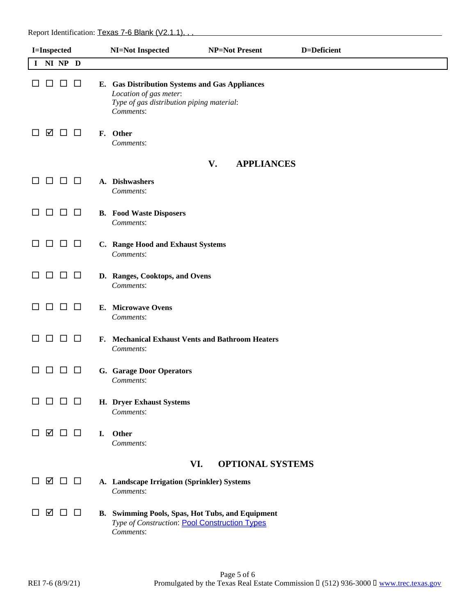| I=Inspected                       | NI=Not Inspected                                                                                                                   | <b>NP=Not Present</b>   | D=Deficient |  |
|-----------------------------------|------------------------------------------------------------------------------------------------------------------------------------|-------------------------|-------------|--|
| NI NP D<br>I                      |                                                                                                                                    |                         |             |  |
| $\Box$<br>⊔<br>ப                  | E. Gas Distribution Systems and Gas Appliances<br>Location of gas meter:<br>Type of gas distribution piping material:<br>Comments: |                         |             |  |
| ☑<br>$\Box$ $\Box$<br>ப           | F. Other<br>Comments:                                                                                                              |                         |             |  |
|                                   |                                                                                                                                    | V.<br><b>APPLIANCES</b> |             |  |
| $\Box$<br>$\Box$<br>$\Box$<br>ப   | A. Dishwashers<br>Comments:                                                                                                        |                         |             |  |
| $\Box$<br>$\Box$ $\Box$<br>□      | <b>B.</b> Food Waste Disposers<br>Comments:                                                                                        |                         |             |  |
| $\Box$ $\Box$<br>$\Box$           | C. Range Hood and Exhaust Systems<br>Comments:                                                                                     |                         |             |  |
| $\Box$<br>□<br>$\Box$<br>ப        | D. Ranges, Cooktops, and Ovens<br>Comments:                                                                                        |                         |             |  |
| $\Box$<br>$\Box$<br>$\mathbf{L}$  | E. Microwave Ovens<br>Comments:                                                                                                    |                         |             |  |
| $\Box$<br>□<br>□<br>ப             | F. Mechanical Exhaust Vents and Bathroom Heaters<br>Comments:                                                                      |                         |             |  |
| $\Box$<br>$\Box$<br>ப<br>ப        | G. Garage Door Operators<br>Comments:                                                                                              |                         |             |  |
| $\Box$ $\Box$<br>$\Box$<br>$\Box$ | H. Dryer Exhaust Systems<br>Comments:                                                                                              |                         |             |  |
| ☑ □ □                             | Other<br>I.<br>Comments:                                                                                                           |                         |             |  |
| VI.<br><b>OPTIONAL SYSTEMS</b>    |                                                                                                                                    |                         |             |  |
| ᢦ□□                               | A. Landscape Irrigation (Sprinkler) Systems<br>Comments:                                                                           |                         |             |  |
| ☑<br>$\Box$ $\Box$                | B. Swimming Pools, Spas, Hot Tubs, and Equipment<br>Type of Construction: Pool Construction Types<br>Comments:                     |                         |             |  |